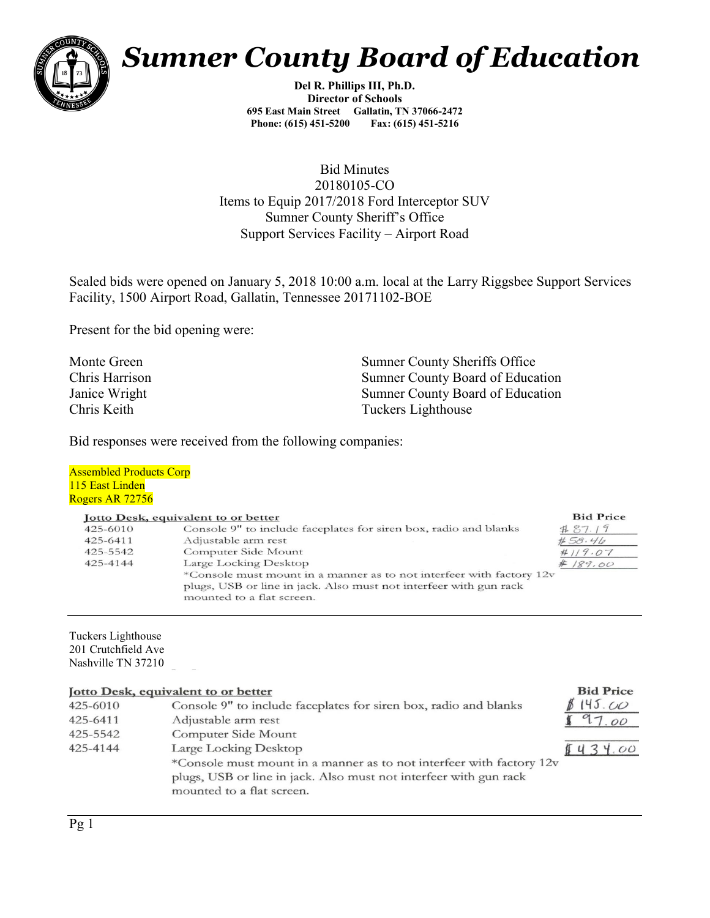

# *Sumner County Board of Education*

*Del R. Phillips III, Ph.D. Director of Schools 695 East Main Street Gallatin, TN 37066-2472 Phone: (615) 451-5200 Fax: (615) 451-5216* 

*Bid Minutes 20180105-CO Items to Equip 2017/2018 Ford Interceptor SUV Sumner County Sheriff's Office Support Services Facility – Airport Road*

*Sealed bids were opened on January 5, 2018 10:00 a.m. local at the Larry Riggsbee Support Services Facility, 1500 Airport Road, Gallatin, Tennessee 20171102-BOE*

*Present for the bid opening were:*

*Monte Green Sumner County Sheriffs Office Chris Harrison Sumner County Board of Education Janice Wright Sumner County Board of Education Chris Keith Tuckers Lighthouse*

**Bid Price** 

*Bid responses were received from the following companies:*

#### *Assembled Products Corp 115 East Linden Rogers AR 72756*

#### **Iotto Desk, equivalent to or better**

|          | <b>Jotto Desk, equivalent to or better</b>                           | <b>Bid Price</b> |
|----------|----------------------------------------------------------------------|------------------|
| 425-6010 | Console 9" to include faceplates for siren box, radio and blanks     | B87.19           |
| 425-6411 | Adjustable arm rest                                                  | #58.46           |
| 425-5542 | Computer Side Mount                                                  | #119.07          |
| 425-4144 | Large Locking Desktop                                                | #189.00          |
|          | *Console must mount in a manner as to not interfeer with factory 12y |                  |
|          | plugs, USB or line in jack. Also must not interfeer with gun rack    |                  |
|          | mounted to a flat screen.                                            |                  |

*Tuckers Lighthouse 201 Crutchfield Ave Nashville TN 37210*

#### Jotto Desk, equivalent to or better

| 425-6010 | Console 9" to include faceplates for siren box, radio and blanks     | 145.00      |
|----------|----------------------------------------------------------------------|-------------|
| 425-6411 | Adjustable arm rest                                                  | 97.00       |
| 425-5542 | Computer Side Mount                                                  |             |
| 425-4144 | Large Locking Desktop                                                | 4.00<br>543 |
|          | *Console must mount in a manner as to not interfeer with factory 12v |             |
|          | plugs, USB or line in jack. Also must not interfeer with gun rack    |             |
|          | mounted to a flat screen.                                            |             |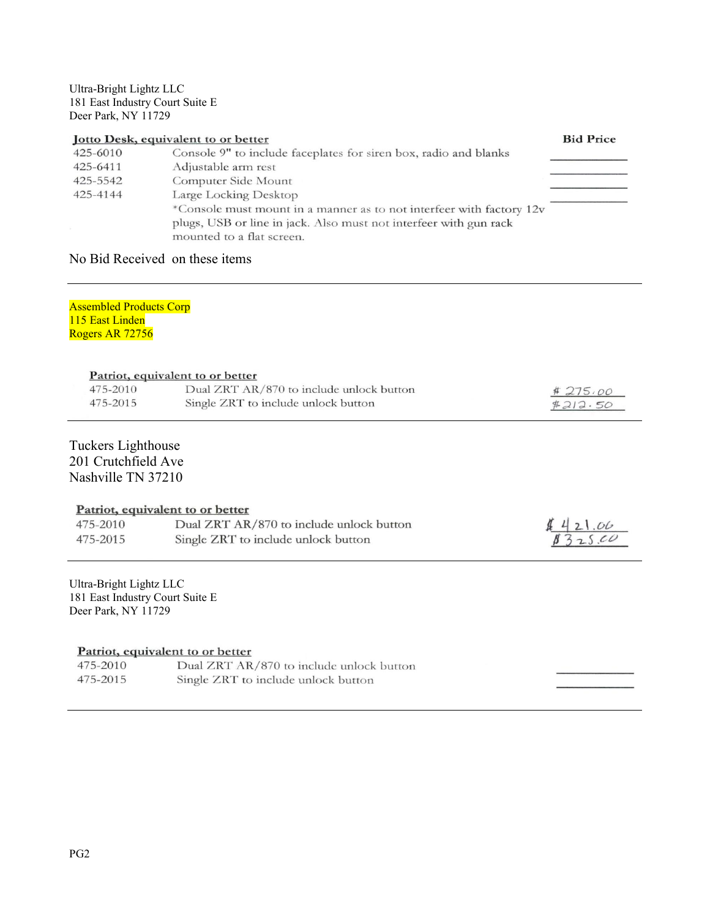#### *Ultra-Bright Lightz LLC 181 East Industry Court Suite E Deer Park, NY 11729*

| Jotto Desk, equivalent to or better |                                                                                                                                                                        | <b>Bid Price</b> |
|-------------------------------------|------------------------------------------------------------------------------------------------------------------------------------------------------------------------|------------------|
| 425-6010                            | Console 9" to include faceplates for siren box, radio and blanks                                                                                                       |                  |
| 425-6411                            | Adjustable arm rest                                                                                                                                                    |                  |
| 425-5542                            | Computer Side Mount                                                                                                                                                    |                  |
| 425-4144                            | Large Locking Desktop                                                                                                                                                  |                  |
|                                     | *Console must mount in a manner as to not interfeer with factory 12v<br>plugs, USB or line in jack. Also must not interfeer with gun rack<br>mounted to a flat screen. |                  |

## *No Bid Received on these items*

#### *Assembled Products Corp 115 East Linden Rogers AR 72756*

#### Patriot, equivalent to or better

| 475-2010 | Dual ZRT AR/870 to include unlock button | #275.00 |
|----------|------------------------------------------|---------|
| 475-2015 | Single ZRT to include unlock button      | #212.50 |

## *Tuckers Lighthouse*

*201 Crutchfield Ave Nashville TN 37210*

#### Patriot, equivalent to or better

| 475-2010 | Dual ZRT AR/870 to include unlock button | 421.06  |
|----------|------------------------------------------|---------|
| 475-2015 | Single ZRT to include unlock button      | 8325.00 |

#### *Ultra-Bright Lightz LLC 181 East Industry Court Suite E Deer Park, NY 11729*

#### Patriot, equivalent to or better

| 475-2010 | Dual ZRT AR/870 to include unlock button |
|----------|------------------------------------------|
| 475-2015 | Single ZRT to include unlock button      |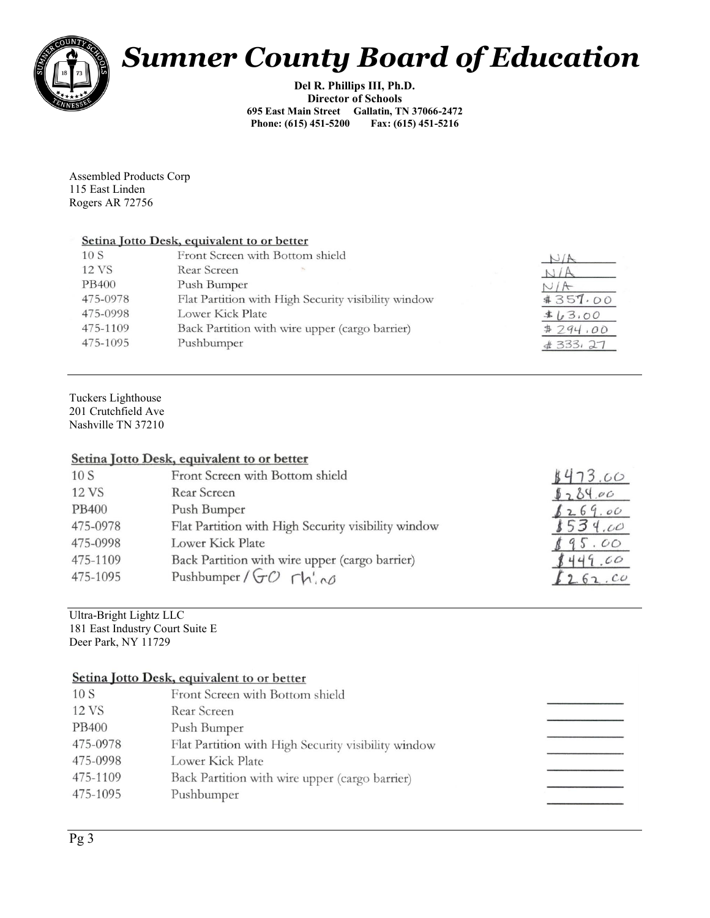

# *Sumner County Board of Education*

*Del R. Phillips III, Ph.D. Director of Schools 695 East Main Street Gallatin, TN 37066-2472 Phone: (615) 451-5200* 

*Assembled Products Corp 115 East Linden Rogers AR 72756*

#### Setina Jotto Desk, equivalent to or better

| 10S      | Front Screen with Bottom shield                     |             |
|----------|-----------------------------------------------------|-------------|
| 12 VS    | Rear Screen                                         |             |
| PB400    | Push Bumper                                         |             |
| 475-0978 | Flat Partition with High Security visibility window | #357.00     |
| 475-0998 | Lower Kick Plate                                    | \$1,00      |
| 475-1109 | Back Partition with wire upper (cargo barrier)      | #294.00     |
| 475-1095 | Pushbumper                                          | $\#333, 27$ |
|          |                                                     |             |

*Tuckers Lighthouse 201 Crutchfield Ave Nashville TN 37210*

#### Setina Jotto Desk, equivalent to or better

| 10S          | Front Screen with Bottom shield                     | 1473.00 |
|--------------|-----------------------------------------------------|---------|
| 12 VS        | Rear Screen                                         | 8284.00 |
| <b>PB400</b> | Push Bumper                                         | 8269.00 |
| 475-0978     | Flat Partition with High Security visibility window | 1534.00 |
| 475-0998     | Lower Kick Plate                                    | .00     |
| 475-1109     | Back Partition with wire upper (cargo barrier)      | 449.00  |
| 475-1095     | Pushbumper/ $GO$ $\Gamma h' \sim \sigma$            | 262.00  |
|              |                                                     |         |

## *Ultra-Bright Lightz LLC*

*181 East Industry Court Suite E Deer Park, NY 11729* 

### Setina Jotto Desk, equivalent to or better

| 10S          | Front Screen with Bottom shield                     |
|--------------|-----------------------------------------------------|
| 12 VS        | Rear Screen                                         |
| <b>PB400</b> | Push Bumper                                         |
| 475-0978     | Flat Partition with High Security visibility window |
| 475-0998     | Lower Kick Plate                                    |
| 475-1109     | Back Partition with wire upper (cargo barrier)      |
| 475-1095     | Pushbumper                                          |
|              |                                                     |